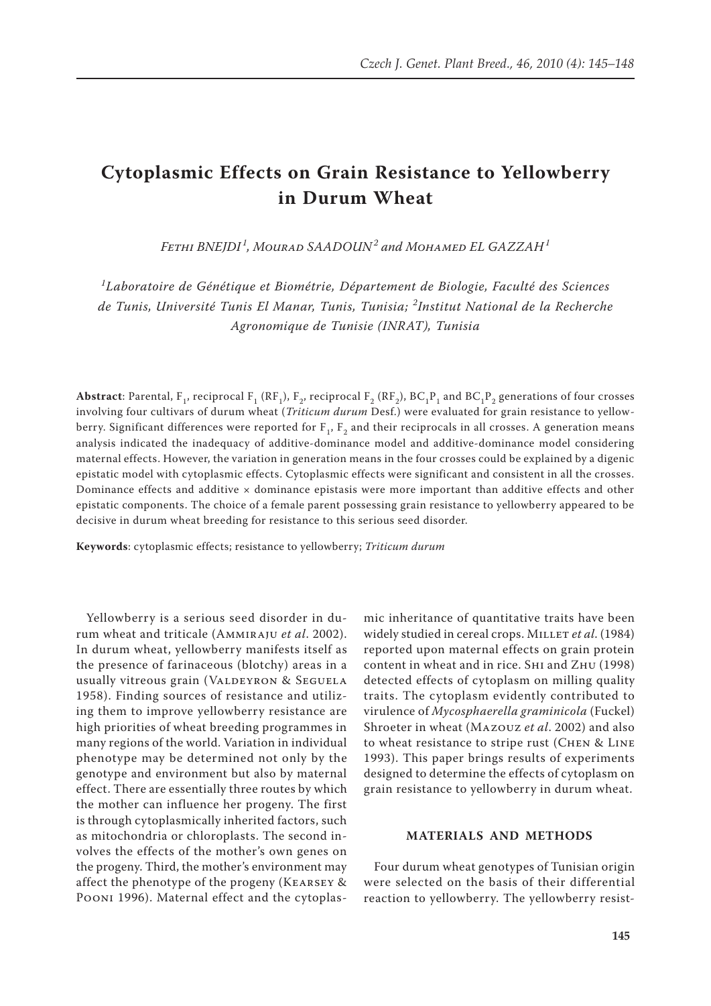## **Cytoplasmic Effects on Grain Resistance to Yellowberry in Durum Wheat**

*Fethi Bnejdi <sup>1</sup> , Mourad Saadoun<sup>2</sup> and Mohamed El Gazzah<sup>1</sup>*

*1 Laboratoire de Génétique et Biométrie, Département de Biologie, Faculté des Sciences de Tunis, Université Tunis El Manar, Tunis, Tunisia; <sup>2</sup> Institut National de la Recherche Agronomique de Tunisie (INRAT), Tunisia*

**Abstract**: Parental, F<sub>1</sub>, reciprocal F<sub>1</sub> (RF<sub>1</sub>), F<sub>2</sub>, reciprocal F<sub>2</sub> (RF<sub>2</sub>), BC<sub>1</sub>P<sub>1</sub> and BC<sub>1</sub>P<sub>2</sub> generations of four crosses involving four cultivars of durum wheat (*Triticum durum* Desf.) were evaluated for grain resistance to yellowberry. Significant differences were reported for  $F_1$ ,  $F_2$  and their reciprocals in all crosses. A generation means analysis indicated the inadequacy of additive-dominance model and additive-dominance model considering maternal effects. However, the variation in generation means in the four crosses could be explained by a digenic epistatic model with cytoplasmic effects. Cytoplasmic effects were significant and consistent in all the crosses. Dominance effects and additive  $\times$  dominance epistasis were more important than additive effects and other epistatic components. The choice of a female parent possessing grain resistance to yellowberry appeared to be decisive in durum wheat breeding for resistance to this serious seed disorder.

**Keywords**: cytoplasmic effects; resistance to yellowberry; *Triticum durum*

Yellowberry is a serious seed disorder in durum wheat and triticale (Ammiraju *et al*. 2002). In durum wheat, yellowberry manifests itself as the presence of farinaceous (blotchy) areas in a usually vitreous grain (VALDEYRON & SEGUELA 1958). Finding sources of resistance and utilizing them to improve yellowberry resistance are high priorities of wheat breeding programmes in many regions of the world. Variation in individual phenotype may be determined not only by the genotype and environment but also by maternal effect. There are essentially three routes by which the mother can influence her progeny. The first is through cytoplasmically inherited factors, such as mitochondria or chloroplasts. The second involves the effects of the mother's own genes on the progeny. Third, the mother's environment may affect the phenotype of the progeny (Kearsey & Pooni 1996). Maternal effect and the cytoplas-

mic inheritance of quantitative traits have been widely studied in cereal crops. MILLET et al. (1984) reported upon maternal effects on grain protein content in wheat and in rice. Shi and Zhu (1998) detected effects of cytoplasm on milling quality traits. The cytoplasm evidently contributed to virulence of *Mycosphaerella graminicola* (Fuckel) Shroeter in wheat (Mazouz *et al*. 2002) and also to wheat resistance to stripe rust (CHEN & LINE 1993). This paper brings results of experiments designed to determine the effects of cytoplasm on grain resistance to yellowberry in durum wheat.

## **Materials and Methods**

Four durum wheat genotypes of Tunisian origin were selected on the basis of their differential reaction to yellowberry. The yellowberry resist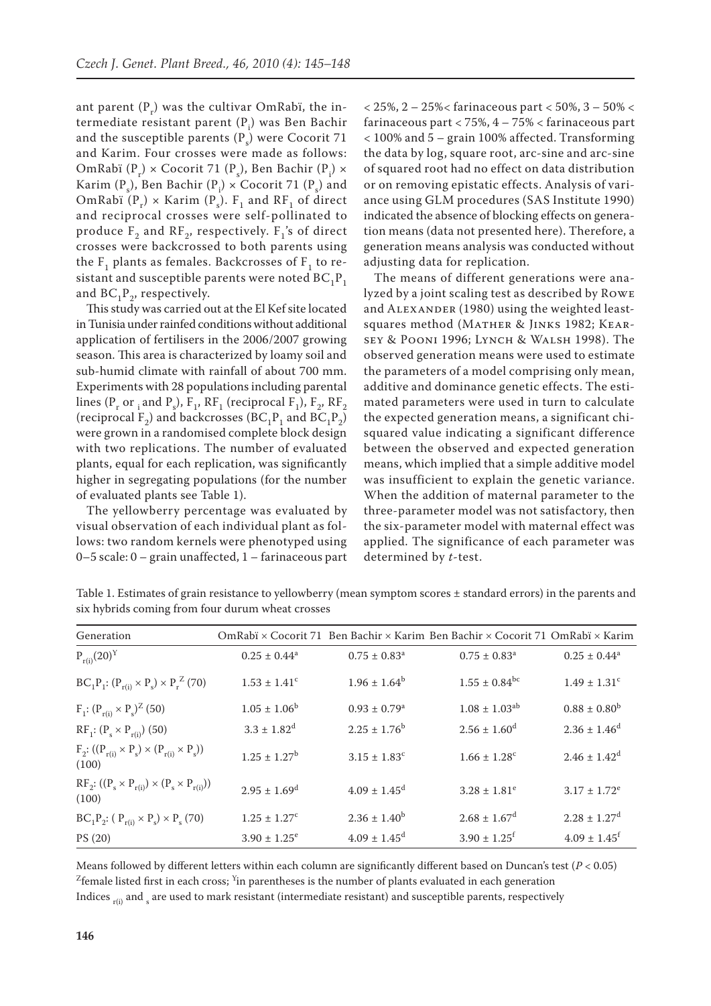ant parent  $(P_r)$  was the cultivar OmRabi, the intermediate resistant parent (P<sub>i</sub>) was Ben Bachir and the susceptible parents  $(P_s)$  were Cocorit 71 and Karim. Four crosses were made as follows: OmRabï (P<sub>r</sub>) × Cocorit 71 (P<sub>s</sub>), Ben Bachir (P<sub>i</sub>) × Karim  $(P_s)$ , Ben Bachir  $(P_i) \times$  Cocorit 71  $(P_s)$  and OmRabï  $(P_r) \times$  Karim  $(P_s)$ .  $F_1$  and R $F_1$  of direct and reciprocal crosses were self-pollinated to produce  $F_2$  and RF<sub>2</sub>, respectively.  $F_1$ 's of direct crosses were backcrossed to both parents using the  $F_1$  plants as females. Backcrosses of  $F_1$  to resistant and susceptible parents were noted  $BC_1P_1$ and  $BC_1P_2$ , respectively.

This study was carried out at the El Kef site located in Tunisia under rainfed conditions without additional application of fertilisers in the 2006/2007 growing season. This area is characterized by loamy soil and sub-humid climate with rainfall of about 700 mm. Experiments with 28 populations including parental lines (P<sub>r</sub> or <sub>i</sub> and P<sub>s</sub>), F<sub>1</sub>, RF<sub>1</sub> (reciprocal F<sub>1</sub>), F<sub>2</sub>, RF<sub>2</sub> (reciprocal F<sub>2</sub>) and backcrosses (BC<sub>1</sub>P<sub>1</sub> and BC<sub>1</sub>P<sub>2</sub>) were grown in a randomised complete block design with two replications. The number of evaluated plants, equal for each replication, was significantly higher in segregating populations (for the number of evaluated plants see Table 1).

The yellowberry percentage was evaluated by visual observation of each individual plant as follows: two random kernels were phenotyped using 0–5 scale: 0 – grain unaffected, 1 – farinaceous part  $<$  25%, 2 – 25%< farinaceous part < 50%, 3 – 50% < farinaceous part < 75%, 4 – 75% < farinaceous part < 100% and 5 – grain 100% affected. Transforming the data by log, square root, arc-sine and arc-sine of squared root had no effect on data distribution or on removing epistatic effects. Analysis of variance using GLM procedures (SAS Institute 1990) indicated the absence of blocking effects on generation means (data not presented here). Therefore, a generation means analysis was conducted without adjusting data for replication.

The means of different generations were analyzed by a joint scaling test as described by Rowe and ALEXANDER (1980) using the weighted leastsquares method (MATHER & JINKS 1982; KEARsey & Pooni 1996; Lynch & Walsh 1998). The observed generation means were used to estimate the parameters of a model comprising only mean, additive and dominance genetic effects. The estimated parameters were used in turn to calculate the expected generation means, a significant chisquared value indicating a significant difference between the observed and expected generation means, which implied that a simple additive model was insufficient to explain the genetic variance. When the addition of maternal parameter to the three-parameter model was not satisfactory, then the six-parameter model with maternal effect was applied. The significance of each parameter was determined by *t*-test.

Table 1. Estimates of grain resistance to yellowberry (mean symptom scores ± standard errors) in the parents and six hybrids coming from four durum wheat crosses

| Generation                                                               |                              |                              | OmRabï × Cocorit 71 Ben Bachir × Karim Ben Bachir × Cocorit 71 OmRabï × Karim |                              |
|--------------------------------------------------------------------------|------------------------------|------------------------------|-------------------------------------------------------------------------------|------------------------------|
| $P_{r(i)}(20)^{Y}$                                                       | $0.25 \pm 0.44^a$            | $0.75 \pm 0.83^{\text{a}}$   | $0.75 \pm 0.83^{\text{a}}$                                                    | $0.25 \pm 0.44^a$            |
| $BC_1P_1$ : $(P_{r(i)} \times P_s) \times P_r^Z$ (70)                    | $1.53 \pm 1.41$ <sup>c</sup> | $1.96 \pm 1.64^b$            | $1.55 \pm 0.84$ <sup>bc</sup>                                                 | $1.49 \pm 1.31$ <sup>c</sup> |
| $F_1$ : $(P_{r(i)} \times P_s)^Z$ (50)                                   | $1.05 \pm 1.06^b$            | $0.93 \pm 0.79$ <sup>a</sup> | $1.08 \pm 1.03^{ab}$                                                          | $0.88 \pm 0.80^b$            |
| $RF_1$ : $(P_s \times P_{r(i)})$ (50)                                    | $3.3 \pm 1.82$ <sup>d</sup>  | $2.25 \pm 1.76^b$            | $2.56 \pm 1.60$ <sup>d</sup>                                                  | $2.36 \pm 1.46$ <sup>d</sup> |
| $F_2$ : $((P_{r(i)} \times P_s) \times (P_{r(i)} \times P_s))$<br>(100)  | $1.25 \pm 1.27^b$            | $3.15 \pm 1.83^c$            | $1.66 \pm 1.28$ <sup>c</sup>                                                  | $2.46 \pm 1.42^d$            |
| $RF_2$ : $((P_s \times P_{r(i)}) \times (P_s \times P_{r(i)}))$<br>(100) | $2.95 \pm 1.69^{\rm d}$      | $4.09 \pm 1.45$ <sup>d</sup> | $3.28 \pm 1.81^e$                                                             | $3.17 \pm 1.72^e$            |
| $BC_1P_2$ : $(P_{r(i)} \times P_s) \times P_s$ (70)                      | $1.25 \pm 1.27^c$            | $2.36 \pm 1.40^b$            | $2.68 \pm 1.67^d$                                                             | $2.28 \pm 1.27$ <sup>d</sup> |
| PS (20)                                                                  | $3.90 \pm 1.25^e$            | $4.09 \pm 1.45$ <sup>d</sup> | $3.90 \pm 1.25$ <sup>f</sup>                                                  | $4.09 \pm 1.45$ <sup>f</sup> |

Means followed by different letters within each column are significantly different based on Duncan's test (*P* < 0.05)  $z_{\text{female}}$  listed first in each cross;  $\gamma$ in parentheses is the number of plants evaluated in each generation Indices  $_{\rm r(i)}$  and  $_{\rm s}$  are used to mark resistant (intermediate resistant) and susceptible parents, respectively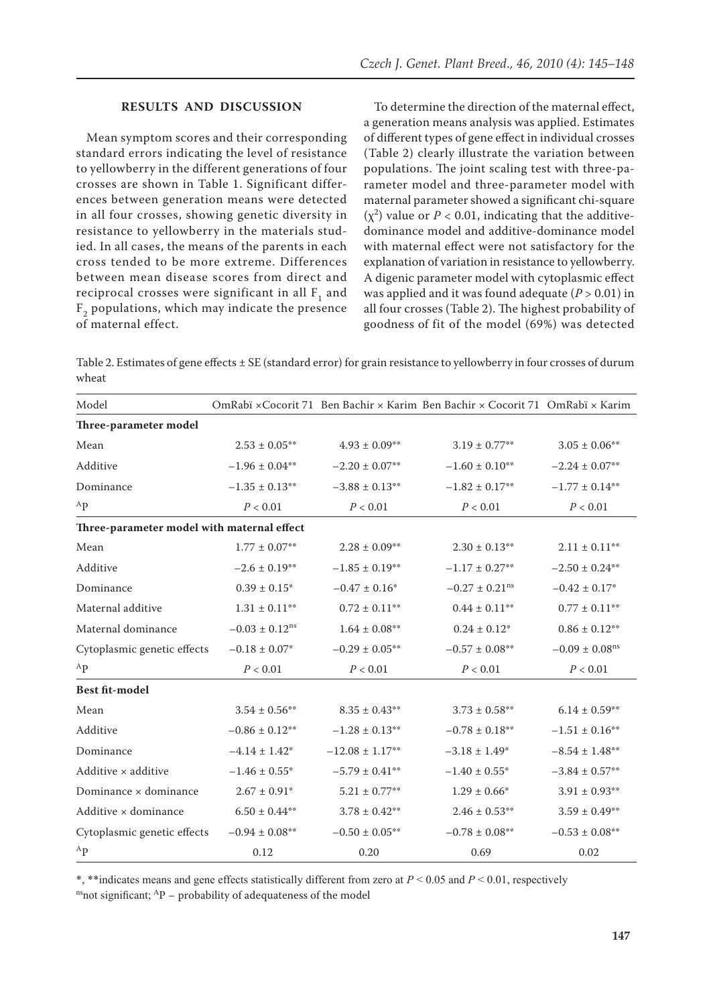## **Results and Discussion**

Mean symptom scores and their corresponding standard errors indicating the level of resistance to yellowberry in the different generations of four crosses are shown in Table 1. Significant differences between generation means were detected in all four crosses, showing genetic diversity in resistance to yellowberry in the materials studied. In all cases, the means of the parents in each cross tended to be more extreme. Differences between mean disease scores from direct and reciprocal crosses were significant in all  $F_1$  and  $F<sub>2</sub>$  populations, which may indicate the presence of maternal effect.

To determine the direction of the maternal effect, a generation means analysis was applied. Estimates of different types of gene effect in individual crosses (Table 2) clearly illustrate the variation between populations. The joint scaling test with three-parameter model and three-parameter model with maternal parameter showed a significant chi-square  $(\chi^2)$  value or *P* < 0.01, indicating that the additivedominance model and additive-dominance model with maternal effect were not satisfactory for the explanation of variation in resistance to yellowberry. A digenic parameter model with cytoplasmic effect was applied and it was found adequate (*P* > 0.01) in all four crosses (Table 2). The highest probability of goodness of fit of the model (69%) was detected

Table 2. Estimates of gene effects ± SE (standard error) for grain resistance to yellowberry in four crosses of durum wheat

| Model                                      |                                |                       | OmRabi × Cocorit 71 Ben Bachir × Karim Ben Bachir × Cocorit 71 OmRabi × Karim |                                |  |  |  |
|--------------------------------------------|--------------------------------|-----------------------|-------------------------------------------------------------------------------|--------------------------------|--|--|--|
| Three-parameter model                      |                                |                       |                                                                               |                                |  |  |  |
| Mean                                       | $2.53 \pm 0.05***$             | $4.93 \pm 0.09$ **    | $3.19 \pm 0.77***$                                                            | $3.05 \pm 0.06***$             |  |  |  |
| Additive                                   | $-1.96 \pm 0.04**$             | $-2.20 \pm 0.07**$    | $-1.60 \pm 0.10**$                                                            | $-2.24 \pm 0.07**$             |  |  |  |
| Dominance                                  | $-1.35 \pm 0.13**$             | $-3.88 \pm 0.13**$    | $-1.82 \pm 0.17**$                                                            | $-1.77 \pm 0.14**$             |  |  |  |
| $A_{P}$                                    | P < 0.01                       | P < 0.01              | P < 0.01                                                                      | P < 0.01                       |  |  |  |
| Three-parameter model with maternal effect |                                |                       |                                                                               |                                |  |  |  |
| Mean                                       | $1.77 \pm 0.07**$              | $2.28 \pm 0.09$ **    | $2.30 \pm 0.13**$                                                             | $2.11 \pm 0.11***$             |  |  |  |
| Additive                                   | $-2.6 \pm 0.19$ **             | $-1.85 \pm 0.19**$    | $-1.17 \pm 0.27**$                                                            | $-2.50 \pm 0.24$ **            |  |  |  |
| Dominance                                  | $0.39 \pm 0.15^*$              | $-0.47 \pm 0.16^*$    | $-0.27 \pm 0.21$ <sup>ns</sup>                                                | $-0.42 \pm 0.17^*$             |  |  |  |
| Maternal additive                          | $1.31 \pm 0.11^{**}$           | $0.72 \pm 0.11^{**}$  | $0.44 \pm 0.11***$                                                            | $0.77 \pm 0.11^{**}$           |  |  |  |
| Maternal dominance                         | $-0.03 \pm 0.12$ <sup>ns</sup> | $1.64 \pm 0.08***$    | $0.24 \pm 0.12^*$                                                             | $0.86 \pm 0.12$ **             |  |  |  |
| Cytoplasmic genetic effects                | $-0.18 \pm 0.07*$              | $-0.29 \pm 0.05***$   | $-0.57 \pm 0.08$ **                                                           | $-0.09 \pm 0.08$ <sup>ns</sup> |  |  |  |
| ${}^{\rm A}P$                              | P < 0.01                       | P < 0.01              | $P<0.01$                                                                      | P < 0.01                       |  |  |  |
| <b>Best fit-model</b>                      |                                |                       |                                                                               |                                |  |  |  |
| Mean                                       | $3.54 \pm 0.56***$             | $8.35 \pm 0.43$ **    | $3.73 \pm 0.58$ **                                                            | $6.14 \pm 0.59***$             |  |  |  |
| Additive                                   | $-0.86 \pm 0.12**$             | $-1.28 \pm 0.13**$    | $-0.78 \pm 0.18$ **                                                           | $-1.51 \pm 0.16$ **            |  |  |  |
| Dominance                                  | $-4.14 \pm 1.42^*$             | $-12.08 \pm 1.17**$   | $-3.18 \pm 1.49^*$                                                            | $-8.54 \pm 1.48***$            |  |  |  |
| Additive x additive                        | $-1.46 \pm 0.55^*$             | $-5.79 \pm 0.41$ **   | $-1.40 \pm 0.55^*$                                                            | $-3.84 \pm 0.57$ **            |  |  |  |
| Dominance × dominance                      | $2.67 \pm 0.91^*$              | $5.21 \pm 0.77***$    | $1.29 \pm 0.66*$                                                              | $3.91 \pm 0.93***$             |  |  |  |
| Additive × dominance                       | $6.50 \pm 0.44$ **             | $3.78 \pm 0.42***$    | $2.46 \pm 0.53$ **                                                            | $3.59 \pm 0.49***$             |  |  |  |
| Cytoplasmic genetic effects                | $-0.94 \pm 0.08***$            | $-0.50 \pm 0.05^{**}$ | $-0.78 \pm 0.08$ **                                                           | $-0.53 \pm 0.08$ **            |  |  |  |
| $A_{\mathbf{p}}$                           | 0.12                           | 0.20                  | 0.69                                                                          | 0.02                           |  |  |  |

\*, \*\*indicates means and gene effects statistically different from zero at *P* < 0.05 and *P* < 0.01, respectively

nsnot significant;  $AP$  – probability of adequateness of the model